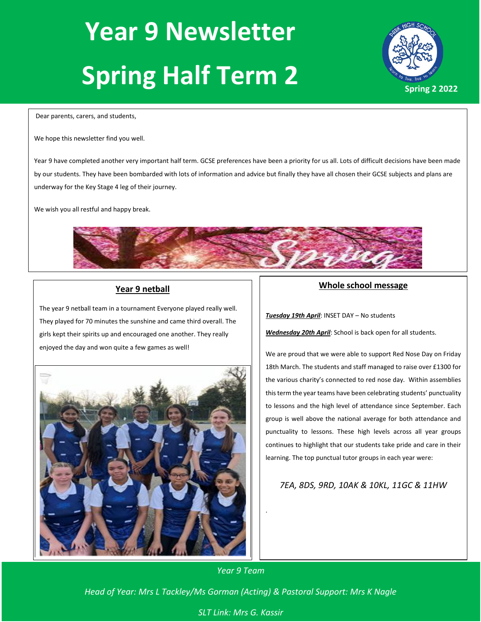# **Year 9 Newsletter Spring Half Term 2**



Dear parents, carers, and students,

We hope this newsletter find you well.

Year 9 have completed another very important half term. GCSE preferences have been a priority for us all. Lots of difficult decisions have been made by our students. They have been bombarded with lots of information and advice but finally they have all chosen their GCSE subjects and plans are underway for the Key Stage 4 leg of their journey.

We wish you all restful and happy break.



# **Year 9 netball**

The year 9 netball team in a tournament Everyone played really well. They played for 70 minutes the sunshine and came third overall. The girls kept their spirits up and encouraged one another. They really enjoyed the day and won quite a few games as well!



# **Whole school message**

*Tuesday 19th April*: INSET DAY – No students

*Wednesday 20th April*: School is back open for all students.

We are proud that we were able to support Red Nose Day on Friday 18th March. The students and staff managed to raise over £1300 for the various charity's connected to red nose day. Within assemblies this term the year teams have been celebrating students' punctuality to lessons and the high level of attendance since September. Each group is well above the national average for both attendance and punctuality to lessons. These high levels across all year groups continues to highlight that our students take pride and care in their learning. The top punctual tutor groups in each year were:

*7EA, 8DS, 9RD, 10AK & 10KL, 11GC & 11HW*

*Year 9 Team*

.

*Head of Year: Mrs L Tackley/Ms Gorman (Acting) & Pastoral Support: Mrs K Nagle*

# *SLT Link: Mrs G. Kassir*